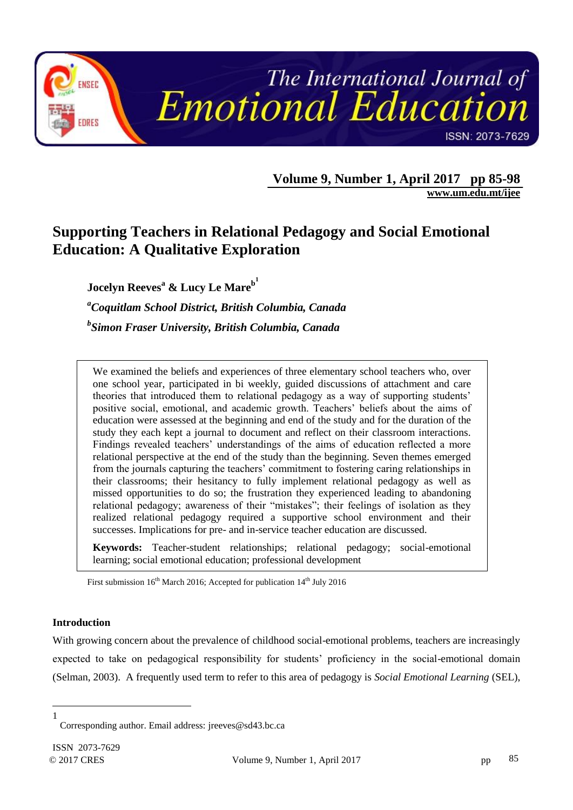

**Volume 9, Number 1, April 2017 pp 85-98**

**[www.um.edu.mt/ijee](http://www.um.edu.mt/ijee)**

# **Supporting Teachers in Relational Pedagogy and Social Emotional Education: A Qualitative Exploration**

**Jocelyn Reeves<sup>a</sup> & Lucy Le Mare<sup>b</sup> 1**

*<sup>a</sup>Coquitlam School District, British Columbia, Canada b Simon Fraser University, British Columbia, Canada*

We examined the beliefs and experiences of three elementary school teachers who, over one school year, participated in bi weekly, guided discussions of attachment and care theories that introduced them to relational pedagogy as a way of supporting students" positive social, emotional, and academic growth. Teachers' beliefs about the aims of education were assessed at the beginning and end of the study and for the duration of the study they each kept a journal to document and reflect on their classroom interactions. Findings revealed teachers' understandings of the aims of education reflected a more relational perspective at the end of the study than the beginning. Seven themes emerged from the journals capturing the teachers" commitment to fostering caring relationships in their classrooms; their hesitancy to fully implement relational pedagogy as well as missed opportunities to do so; the frustration they experienced leading to abandoning relational pedagogy; awareness of their "mistakes"; their feelings of isolation as they realized relational pedagogy required a supportive school environment and their successes. Implications for pre- and in-service teacher education are discussed.

**Keywords:** Teacher-student relationships; relational pedagogy; social-emotional learning; social emotional education; professional development

First submission 16<sup>th</sup> March 2016; Accepted for publication 14<sup>th</sup> July 2016

# **Introduction**

With growing concern about the prevalence of childhood social-emotional problems, teachers are increasingly expected to take on pedagogical responsibility for students" proficiency in the social-emotional domain (Selman, 2003). A frequently used term to refer to this area of pedagogy is *Social Emotional Learning* (SEL),

 $\overline{a}$ 1

Corresponding author. Email address: jreeves@sd43.bc.ca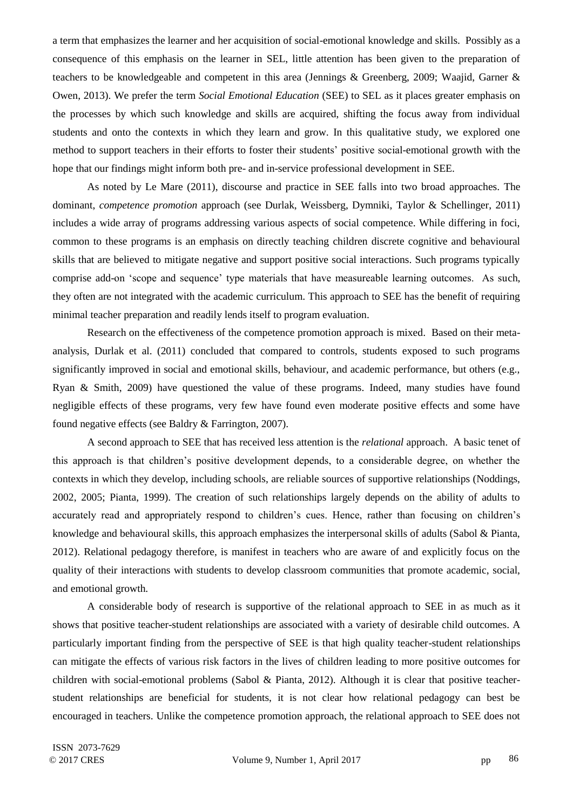a term that emphasizes the learner and her acquisition of social-emotional knowledge and skills. Possibly as a consequence of this emphasis on the learner in SEL, little attention has been given to the preparation of teachers to be knowledgeable and competent in this area (Jennings & Greenberg, 2009; Waajid, Garner & Owen, 2013). We prefer the term *Social Emotional Education* (SEE) to SEL as it places greater emphasis on the processes by which such knowledge and skills are acquired, shifting the focus away from individual students and onto the contexts in which they learn and grow. In this qualitative study, we explored one method to support teachers in their efforts to foster their students" positive social-emotional growth with the hope that our findings might inform both pre- and in-service professional development in SEE.

As noted by Le Mare (2011), discourse and practice in SEE falls into two broad approaches. The dominant, *competence promotion* approach (see Durlak, Weissberg, Dymniki, Taylor & Schellinger, 2011) includes a wide array of programs addressing various aspects of social competence. While differing in foci, common to these programs is an emphasis on directly teaching children discrete cognitive and behavioural skills that are believed to mitigate negative and support positive social interactions. Such programs typically comprise add-on "scope and sequence" type materials that have measureable learning outcomes. As such, they often are not integrated with the academic curriculum. This approach to SEE has the benefit of requiring minimal teacher preparation and readily lends itself to program evaluation.

Research on the effectiveness of the competence promotion approach is mixed. Based on their metaanalysis, Durlak et al. (2011) concluded that compared to controls, students exposed to such programs significantly improved in social and emotional skills, behaviour, and academic performance, but others (e.g., Ryan & Smith, 2009) have questioned the value of these programs. Indeed, many studies have found negligible effects of these programs, very few have found even moderate positive effects and some have found negative effects (see Baldry & Farrington, 2007).

A second approach to SEE that has received less attention is the *relational* approach. A basic tenet of this approach is that children"s positive development depends, to a considerable degree, on whether the contexts in which they develop, including schools, are reliable sources of supportive relationships (Noddings, 2002, 2005; Pianta, 1999). The creation of such relationships largely depends on the ability of adults to accurately read and appropriately respond to children's cues. Hence, rather than focusing on children's knowledge and behavioural skills, this approach emphasizes the interpersonal skills of adults (Sabol & Pianta, 2012). Relational pedagogy therefore, is manifest in teachers who are aware of and explicitly focus on the quality of their interactions with students to develop classroom communities that promote academic, social, and emotional growth.

A considerable body of research is supportive of the relational approach to SEE in as much as it shows that positive teacher-student relationships are associated with a variety of desirable child outcomes. A particularly important finding from the perspective of SEE is that high quality teacher-student relationships can mitigate the effects of various risk factors in the lives of children leading to more positive outcomes for children with social-emotional problems (Sabol & Pianta, 2012). Although it is clear that positive teacherstudent relationships are beneficial for students, it is not clear how relational pedagogy can best be encouraged in teachers. Unlike the competence promotion approach, the relational approach to SEE does not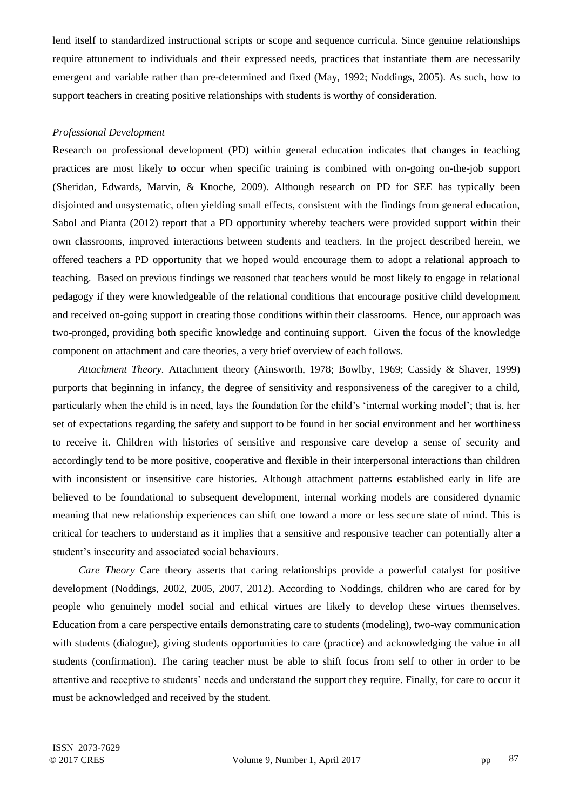lend itself to standardized instructional scripts or scope and sequence curricula. Since genuine relationships require attunement to individuals and their expressed needs, practices that instantiate them are necessarily emergent and variable rather than pre-determined and fixed (May, 1992; Noddings, 2005). As such, how to support teachers in creating positive relationships with students is worthy of consideration.

# *Professional Development*

Research on professional development (PD) within general education indicates that changes in teaching practices are most likely to occur when specific training is combined with on-going on-the-job support (Sheridan, Edwards, Marvin, & Knoche, 2009). Although research on PD for SEE has typically been disjointed and unsystematic, often yielding small effects, consistent with the findings from general education, Sabol and Pianta (2012) report that a PD opportunity whereby teachers were provided support within their own classrooms, improved interactions between students and teachers. In the project described herein, we offered teachers a PD opportunity that we hoped would encourage them to adopt a relational approach to teaching. Based on previous findings we reasoned that teachers would be most likely to engage in relational pedagogy if they were knowledgeable of the relational conditions that encourage positive child development and received on-going support in creating those conditions within their classrooms. Hence, our approach was two-pronged, providing both specific knowledge and continuing support. Given the focus of the knowledge component on attachment and care theories, a very brief overview of each follows.

*Attachment Theory.* Attachment theory (Ainsworth, 1978; Bowlby, 1969; Cassidy & Shaver, 1999) purports that beginning in infancy, the degree of sensitivity and responsiveness of the caregiver to a child, particularly when the child is in need, lays the foundation for the child"s "internal working model"; that is, her set of expectations regarding the safety and support to be found in her social environment and her worthiness to receive it. Children with histories of sensitive and responsive care develop a sense of security and accordingly tend to be more positive, cooperative and flexible in their interpersonal interactions than children with inconsistent or insensitive care histories. Although attachment patterns established early in life are believed to be foundational to subsequent development, internal working models are considered dynamic meaning that new relationship experiences can shift one toward a more or less secure state of mind. This is critical for teachers to understand as it implies that a sensitive and responsive teacher can potentially alter a student"s insecurity and associated social behaviours.

*Care Theory* Care theory asserts that caring relationships provide a powerful catalyst for positive development (Noddings, 2002, 2005, 2007, 2012). According to Noddings, children who are cared for by people who genuinely model social and ethical virtues are likely to develop these virtues themselves. Education from a care perspective entails demonstrating care to students (modeling), two-way communication with students (dialogue), giving students opportunities to care (practice) and acknowledging the value in all students (confirmation). The caring teacher must be able to shift focus from self to other in order to be attentive and receptive to students" needs and understand the support they require. Finally, for care to occur it must be acknowledged and received by the student.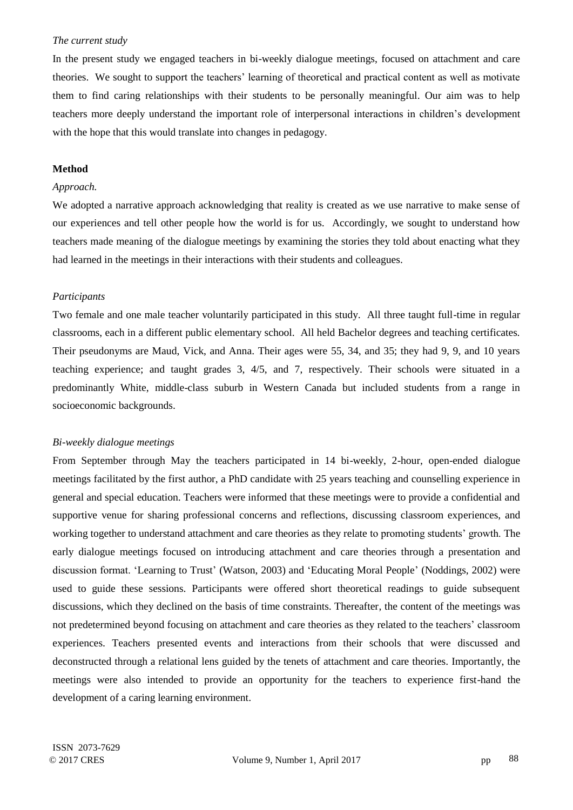## *The current study*

In the present study we engaged teachers in bi-weekly dialogue meetings, focused on attachment and care theories. We sought to support the teachers" learning of theoretical and practical content as well as motivate them to find caring relationships with their students to be personally meaningful. Our aim was to help teachers more deeply understand the important role of interpersonal interactions in children"s development with the hope that this would translate into changes in pedagogy.

## **Method**

# *Approach.*

We adopted a narrative approach acknowledging that reality is created as we use narrative to make sense of our experiences and tell other people how the world is for us. Accordingly, we sought to understand how teachers made meaning of the dialogue meetings by examining the stories they told about enacting what they had learned in the meetings in their interactions with their students and colleagues.

## *Participants*

Two female and one male teacher voluntarily participated in this study. All three taught full-time in regular classrooms, each in a different public elementary school. All held Bachelor degrees and teaching certificates. Their pseudonyms are Maud, Vick, and Anna. Their ages were 55, 34, and 35; they had 9, 9, and 10 years teaching experience; and taught grades 3, 4/5, and 7, respectively. Their schools were situated in a predominantly White, middle-class suburb in Western Canada but included students from a range in socioeconomic backgrounds.

## *Bi-weekly dialogue meetings*

From September through May the teachers participated in 14 bi-weekly, 2-hour, open-ended dialogue meetings facilitated by the first author, a PhD candidate with 25 years teaching and counselling experience in general and special education. Teachers were informed that these meetings were to provide a confidential and supportive venue for sharing professional concerns and reflections, discussing classroom experiences, and working together to understand attachment and care theories as they relate to promoting students" growth. The early dialogue meetings focused on introducing attachment and care theories through a presentation and discussion format. 'Learning to Trust' (Watson, 2003) and 'Educating Moral People' (Noddings, 2002) were used to guide these sessions. Participants were offered short theoretical readings to guide subsequent discussions, which they declined on the basis of time constraints. Thereafter, the content of the meetings was not predetermined beyond focusing on attachment and care theories as they related to the teachers" classroom experiences. Teachers presented events and interactions from their schools that were discussed and deconstructed through a relational lens guided by the tenets of attachment and care theories. Importantly, the meetings were also intended to provide an opportunity for the teachers to experience first-hand the development of a caring learning environment.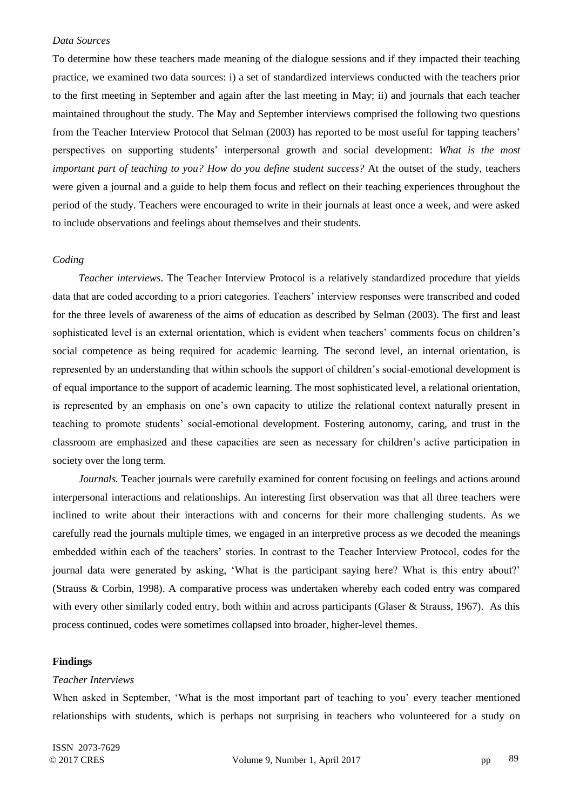#### *Data Sources*

To determine how these teachers made meaning of the dialogue sessions and if they impacted their teaching practice, we examined two data sources: i) a set of standardized interviews conducted with the teachers prior to the first meeting in September and again after the last meeting in May; ii) and journals that each teacher maintained throughout the study. The May and September interviews comprised the following two questions from the Teacher Interview Protocol that Selman (2003) has reported to be most useful for tapping teachers" perspectives on supporting students" interpersonal growth and social development: *What is the most important part of teaching to you? How do you define student success?* At the outset of the study, teachers were given a journal and a guide to help them focus and reflect on their teaching experiences throughout the period of the study. Teachers were encouraged to write in their journals at least once a week, and were asked to include observations and feelings about themselves and their students.

# *Coding*

*Teacher interviews*. The Teacher Interview Protocol is a relatively standardized procedure that yields data that are coded according to a priori categories. Teachers' interview responses were transcribed and coded for the three levels of awareness of the aims of education as described by Selman (2003). The first and least sophisticated level is an external orientation, which is evident when teachers" comments focus on children"s social competence as being required for academic learning. The second level, an internal orientation, is represented by an understanding that within schools the support of children"s social-emotional development is of equal importance to the support of academic learning. The most sophisticated level, a relational orientation, is represented by an emphasis on one"s own capacity to utilize the relational context naturally present in teaching to promote students" social-emotional development. Fostering autonomy, caring, and trust in the classroom are emphasized and these capacities are seen as necessary for children"s active participation in society over the long term.

*Journals.* Teacher journals were carefully examined for content focusing on feelings and actions around interpersonal interactions and relationships. An interesting first observation was that all three teachers were inclined to write about their interactions with and concerns for their more challenging students. As we carefully read the journals multiple times, we engaged in an interpretive process as we decoded the meanings embedded within each of the teachers' stories. In contrast to the Teacher Interview Protocol, codes for the journal data were generated by asking, "What is the participant saying here? What is this entry about?" (Strauss & Corbin, 1998). A comparative process was undertaken whereby each coded entry was compared with every other similarly coded entry, both within and across participants (Glaser & Strauss, 1967). As this process continued, codes were sometimes collapsed into broader, higher-level themes.

#### **Findings**

#### *Teacher Interviews*

When asked in September, 'What is the most important part of teaching to you' every teacher mentioned relationships with students, which is perhaps not surprising in teachers who volunteered for a study on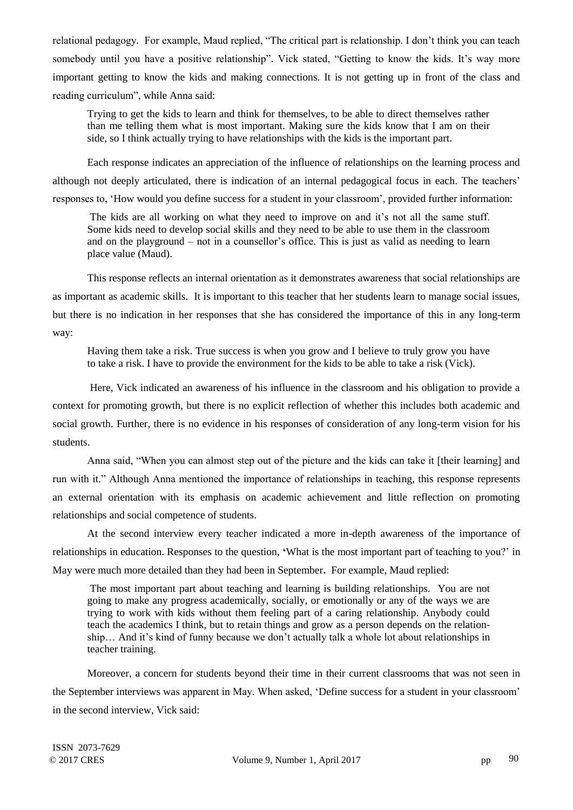relational pedagogy. For example, Maud replied, "The critical part is relationship. I don"t think you can teach somebody until you have a positive relationship". Vick stated, "Getting to know the kids. It's way more important getting to know the kids and making connections. It is not getting up in front of the class and reading curriculum", while Anna said:

Trying to get the kids to learn and think for themselves, to be able to direct themselves rather than me telling them what is most important. Making sure the kids know that I am on their side, so I think actually trying to have relationships with the kids is the important part.

Each response indicates an appreciation of the influence of relationships on the learning process and although not deeply articulated, there is indication of an internal pedagogical focus in each. The teachers" responses to, "How would you define success for a student in your classroom", provided further information:

The kids are all working on what they need to improve on and it"s not all the same stuff. Some kids need to develop social skills and they need to be able to use them in the classroom and on the playground – not in a counsellor's office. This is just as valid as needing to learn place value (Maud).

This response reflects an internal orientation as it demonstrates awareness that social relationships are as important as academic skills. It is important to this teacher that her students learn to manage social issues, but there is no indication in her responses that she has considered the importance of this in any long-term way:

Having them take a risk. True success is when you grow and I believe to truly grow you have to take a risk. I have to provide the environment for the kids to be able to take a risk (Vick).

Here, Vick indicated an awareness of his influence in the classroom and his obligation to provide a context for promoting growth, but there is no explicit reflection of whether this includes both academic and social growth. Further, there is no evidence in his responses of consideration of any long-term vision for his students.

Anna said, "When you can almost step out of the picture and the kids can take it [their learning] and run with it." Although Anna mentioned the importance of relationships in teaching, this response represents an external orientation with its emphasis on academic achievement and little reflection on promoting relationships and social competence of students.

At the second interview every teacher indicated a more in-depth awareness of the importance of relationships in education. Responses to the question, **'**What is the most important part of teaching to you?" in May were much more detailed than they had been in September**.** For example, Maud replied:

The most important part about teaching and learning is building relationships. You are not going to make any progress academically, socially, or emotionally or any of the ways we are trying to work with kids without them feeling part of a caring relationship. Anybody could teach the academics I think, but to retain things and grow as a person depends on the relationship… And it"s kind of funny because we don"t actually talk a whole lot about relationships in teacher training.

Moreover, a concern for students beyond their time in their current classrooms that was not seen in the September interviews was apparent in May. When asked, "Define success for a student in your classroom" in the second interview, Vick said: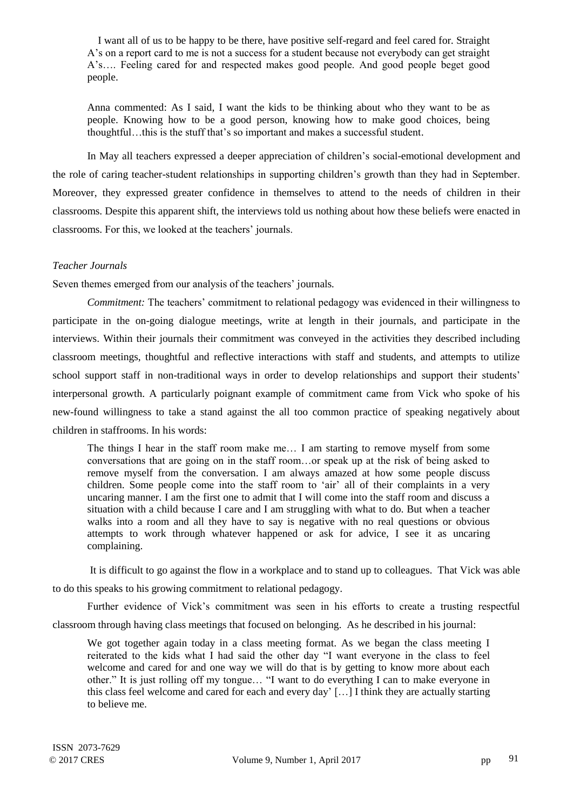I want all of us to be happy to be there, have positive self-regard and feel cared for. Straight A"s on a report card to me is not a success for a student because not everybody can get straight A"s…. Feeling cared for and respected makes good people. And good people beget good people.

Anna commented: As I said, I want the kids to be thinking about who they want to be as people. Knowing how to be a good person, knowing how to make good choices, being thoughtful…this is the stuff that"s so important and makes a successful student.

In May all teachers expressed a deeper appreciation of children"s social-emotional development and the role of caring teacher-student relationships in supporting children"s growth than they had in September. Moreover, they expressed greater confidence in themselves to attend to the needs of children in their classrooms. Despite this apparent shift, the interviews told us nothing about how these beliefs were enacted in classrooms. For this, we looked at the teachers' journals.

# *Teacher Journals*

Seven themes emerged from our analysis of the teachers" journals*.* 

*Commitment:* The teachers' commitment to relational pedagogy was evidenced in their willingness to participate in the on-going dialogue meetings, write at length in their journals, and participate in the interviews. Within their journals their commitment was conveyed in the activities they described including classroom meetings, thoughtful and reflective interactions with staff and students, and attempts to utilize school support staff in non-traditional ways in order to develop relationships and support their students' interpersonal growth. A particularly poignant example of commitment came from Vick who spoke of his new-found willingness to take a stand against the all too common practice of speaking negatively about children in staffrooms. In his words:

The things I hear in the staff room make me… I am starting to remove myself from some conversations that are going on in the staff room…or speak up at the risk of being asked to remove myself from the conversation. I am always amazed at how some people discuss children. Some people come into the staff room to "air" all of their complaints in a very uncaring manner. I am the first one to admit that I will come into the staff room and discuss a situation with a child because I care and I am struggling with what to do. But when a teacher walks into a room and all they have to say is negative with no real questions or obvious attempts to work through whatever happened or ask for advice, I see it as uncaring complaining.

It is difficult to go against the flow in a workplace and to stand up to colleagues. That Vick was able to do this speaks to his growing commitment to relational pedagogy.

Further evidence of Vick's commitment was seen in his efforts to create a trusting respectful

classroom through having class meetings that focused on belonging. As he described in his journal:

We got together again today in a class meeting format. As we began the class meeting I reiterated to the kids what I had said the other day "I want everyone in the class to feel welcome and cared for and one way we will do that is by getting to know more about each other." It is just rolling off my tongue… "I want to do everything I can to make everyone in this class feel welcome and cared for each and every day" […] I think they are actually starting to believe me.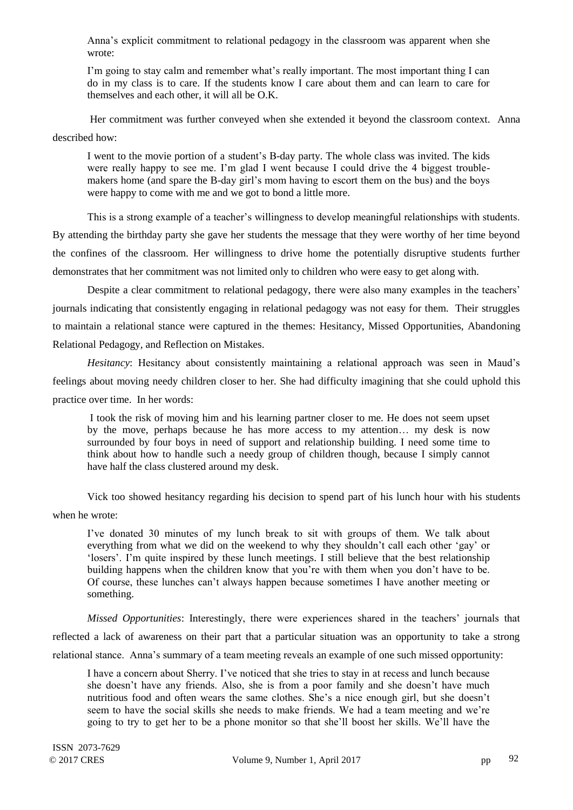Anna"s explicit commitment to relational pedagogy in the classroom was apparent when she wrote:

I"m going to stay calm and remember what"s really important. The most important thing I can do in my class is to care. If the students know I care about them and can learn to care for themselves and each other, it will all be O.K.

Her commitment was further conveyed when she extended it beyond the classroom context. Anna described how:

I went to the movie portion of a student"s B-day party. The whole class was invited. The kids were really happy to see me. I'm glad I went because I could drive the 4 biggest troublemakers home (and spare the B-day girl"s mom having to escort them on the bus) and the boys were happy to come with me and we got to bond a little more.

This is a strong example of a teacher"s willingness to develop meaningful relationships with students. By attending the birthday party she gave her students the message that they were worthy of her time beyond the confines of the classroom. Her willingness to drive home the potentially disruptive students further demonstrates that her commitment was not limited only to children who were easy to get along with.

Despite a clear commitment to relational pedagogy, there were also many examples in the teachers' journals indicating that consistently engaging in relational pedagogy was not easy for them. Their struggles to maintain a relational stance were captured in the themes: Hesitancy, Missed Opportunities, Abandoning Relational Pedagogy, and Reflection on Mistakes.

*Hesitancy*: Hesitancy about consistently maintaining a relational approach was seen in Maud's feelings about moving needy children closer to her. She had difficulty imagining that she could uphold this practice over time. In her words:

I took the risk of moving him and his learning partner closer to me. He does not seem upset by the move, perhaps because he has more access to my attention… my desk is now surrounded by four boys in need of support and relationship building. I need some time to think about how to handle such a needy group of children though, because I simply cannot have half the class clustered around my desk.

Vick too showed hesitancy regarding his decision to spend part of his lunch hour with his students when he wrote:

I"ve donated 30 minutes of my lunch break to sit with groups of them. We talk about everything from what we did on the weekend to why they shouldn"t call each other "gay" or "losers". I"m quite inspired by these lunch meetings. I still believe that the best relationship building happens when the children know that you"re with them when you don"t have to be. Of course, these lunches can"t always happen because sometimes I have another meeting or something.

*Missed Opportunities*: Interestingly, there were experiences shared in the teachers" journals that reflected a lack of awareness on their part that a particular situation was an opportunity to take a strong relational stance. Anna"s summary of a team meeting reveals an example of one such missed opportunity:

I have a concern about Sherry. I"ve noticed that she tries to stay in at recess and lunch because she doesn"t have any friends. Also, she is from a poor family and she doesn"t have much nutritious food and often wears the same clothes. She"s a nice enough girl, but she doesn"t seem to have the social skills she needs to make friends. We had a team meeting and we"re going to try to get her to be a phone monitor so that she"ll boost her skills. We"ll have the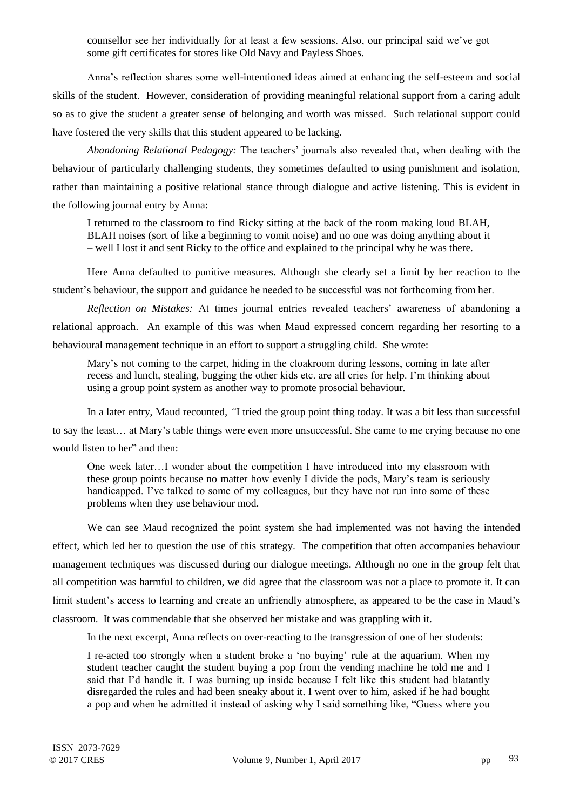counsellor see her individually for at least a few sessions. Also, our principal said we"ve got some gift certificates for stores like Old Navy and Payless Shoes.

Anna"s reflection shares some well-intentioned ideas aimed at enhancing the self-esteem and social skills of the student. However, consideration of providing meaningful relational support from a caring adult so as to give the student a greater sense of belonging and worth was missed. Such relational support could have fostered the very skills that this student appeared to be lacking.

*Abandoning Relational Pedagogy:* The teachers" journals also revealed that, when dealing with the behaviour of particularly challenging students, they sometimes defaulted to using punishment and isolation, rather than maintaining a positive relational stance through dialogue and active listening. This is evident in the following journal entry by Anna:

I returned to the classroom to find Ricky sitting at the back of the room making loud BLAH, BLAH noises (sort of like a beginning to vomit noise) and no one was doing anything about it – well I lost it and sent Ricky to the office and explained to the principal why he was there.

Here Anna defaulted to punitive measures. Although she clearly set a limit by her reaction to the student"s behaviour, the support and guidance he needed to be successful was not forthcoming from her.

*Reflection on Mistakes:* At times journal entries revealed teachers' awareness of abandoning a relational approach. An example of this was when Maud expressed concern regarding her resorting to a behavioural management technique in an effort to support a struggling child. She wrote:

Mary"s not coming to the carpet, hiding in the cloakroom during lessons, coming in late after recess and lunch, stealing, bugging the other kids etc. are all cries for help. I"m thinking about using a group point system as another way to promote prosocial behaviour.

In a later entry, Maud recounted, *"*I tried the group point thing today. It was a bit less than successful to say the least… at Mary"s table things were even more unsuccessful. She came to me crying because no one would listen to her" and then:

One week later…I wonder about the competition I have introduced into my classroom with these group points because no matter how evenly I divide the pods, Mary"s team is seriously handicapped. I've talked to some of my colleagues, but they have not run into some of these problems when they use behaviour mod.

We can see Maud recognized the point system she had implemented was not having the intended effect, which led her to question the use of this strategy. The competition that often accompanies behaviour management techniques was discussed during our dialogue meetings. Although no one in the group felt that all competition was harmful to children, we did agree that the classroom was not a place to promote it. It can limit student's access to learning and create an unfriendly atmosphere, as appeared to be the case in Maud's classroom. It was commendable that she observed her mistake and was grappling with it.

In the next excerpt, Anna reflects on over-reacting to the transgression of one of her students:

I re-acted too strongly when a student broke a "no buying" rule at the aquarium. When my student teacher caught the student buying a pop from the vending machine he told me and I said that I'd handle it. I was burning up inside because I felt like this student had blatantly disregarded the rules and had been sneaky about it. I went over to him, asked if he had bought a pop and when he admitted it instead of asking why I said something like, "Guess where you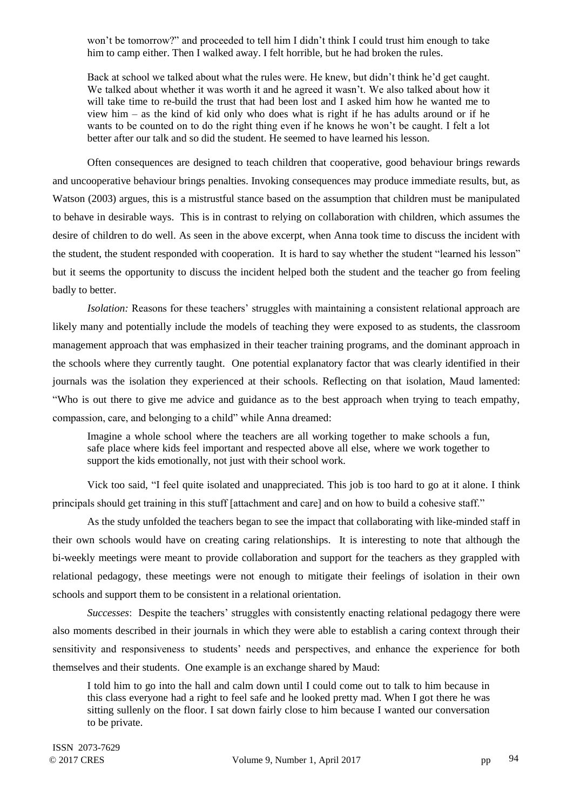won"t be tomorrow?" and proceeded to tell him I didn"t think I could trust him enough to take him to camp either. Then I walked away. I felt horrible, but he had broken the rules.

Back at school we talked about what the rules were. He knew, but didn"t think he"d get caught. We talked about whether it was worth it and he agreed it wasn't. We also talked about how it will take time to re-build the trust that had been lost and I asked him how he wanted me to view him – as the kind of kid only who does what is right if he has adults around or if he wants to be counted on to do the right thing even if he knows he won"t be caught. I felt a lot better after our talk and so did the student. He seemed to have learned his lesson.

Often consequences are designed to teach children that cooperative, good behaviour brings rewards and uncooperative behaviour brings penalties. Invoking consequences may produce immediate results, but, as Watson (2003) argues, this is a mistrustful stance based on the assumption that children must be manipulated to behave in desirable ways. This is in contrast to relying on collaboration with children, which assumes the desire of children to do well. As seen in the above excerpt, when Anna took time to discuss the incident with the student, the student responded with cooperation. It is hard to say whether the student "learned his lesson" but it seems the opportunity to discuss the incident helped both the student and the teacher go from feeling badly to better.

*Isolation:* Reasons for these teachers' struggles with maintaining a consistent relational approach are likely many and potentially include the models of teaching they were exposed to as students, the classroom management approach that was emphasized in their teacher training programs, and the dominant approach in the schools where they currently taught. One potential explanatory factor that was clearly identified in their journals was the isolation they experienced at their schools. Reflecting on that isolation, Maud lamented: "Who is out there to give me advice and guidance as to the best approach when trying to teach empathy, compassion, care, and belonging to a child" while Anna dreamed:

Imagine a whole school where the teachers are all working together to make schools a fun, safe place where kids feel important and respected above all else, where we work together to support the kids emotionally, not just with their school work.

Vick too said, "I feel quite isolated and unappreciated. This job is too hard to go at it alone. I think principals should get training in this stuff [attachment and care] and on how to build a cohesive staff."

As the study unfolded the teachers began to see the impact that collaborating with like-minded staff in their own schools would have on creating caring relationships. It is interesting to note that although the bi-weekly meetings were meant to provide collaboration and support for the teachers as they grappled with relational pedagogy, these meetings were not enough to mitigate their feelings of isolation in their own schools and support them to be consistent in a relational orientation.

*Successes*: Despite the teachers' struggles with consistently enacting relational pedagogy there were also moments described in their journals in which they were able to establish a caring context through their sensitivity and responsiveness to students' needs and perspectives, and enhance the experience for both themselves and their students. One example is an exchange shared by Maud:

I told him to go into the hall and calm down until I could come out to talk to him because in this class everyone had a right to feel safe and he looked pretty mad. When I got there he was sitting sullenly on the floor. I sat down fairly close to him because I wanted our conversation to be private.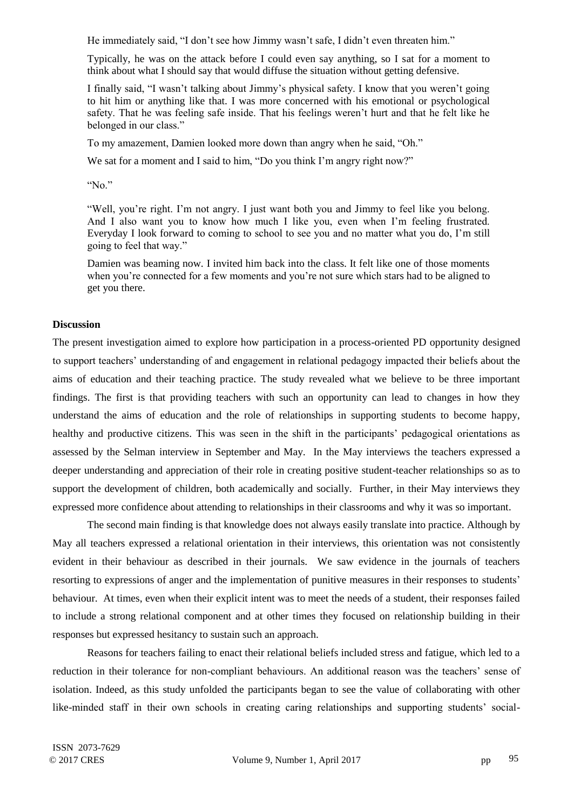He immediately said, "I don't see how Jimmy wasn't safe. I didn't even threaten him."

Typically, he was on the attack before I could even say anything, so I sat for a moment to think about what I should say that would diffuse the situation without getting defensive.

I finally said, "I wasn"t talking about Jimmy"s physical safety. I know that you weren"t going to hit him or anything like that. I was more concerned with his emotional or psychological safety. That he was feeling safe inside. That his feelings weren"t hurt and that he felt like he belonged in our class."

To my amazement, Damien looked more down than angry when he said, "Oh."

We sat for a moment and I said to him, "Do you think I'm angry right now?"

"No."

"Well, you"re right. I"m not angry. I just want both you and Jimmy to feel like you belong. And I also want you to know how much I like you, even when I"m feeling frustrated. Everyday I look forward to coming to school to see you and no matter what you do, I"m still going to feel that way."

Damien was beaming now. I invited him back into the class. It felt like one of those moments when you're connected for a few moments and you're not sure which stars had to be aligned to get you there.

# **Discussion**

The present investigation aimed to explore how participation in a process-oriented PD opportunity designed to support teachers" understanding of and engagement in relational pedagogy impacted their beliefs about the aims of education and their teaching practice. The study revealed what we believe to be three important findings. The first is that providing teachers with such an opportunity can lead to changes in how they understand the aims of education and the role of relationships in supporting students to become happy, healthy and productive citizens. This was seen in the shift in the participants' pedagogical orientations as assessed by the Selman interview in September and May. In the May interviews the teachers expressed a deeper understanding and appreciation of their role in creating positive student-teacher relationships so as to support the development of children, both academically and socially. Further, in their May interviews they expressed more confidence about attending to relationships in their classrooms and why it was so important.

The second main finding is that knowledge does not always easily translate into practice. Although by May all teachers expressed a relational orientation in their interviews, this orientation was not consistently evident in their behaviour as described in their journals. We saw evidence in the journals of teachers resorting to expressions of anger and the implementation of punitive measures in their responses to students" behaviour. At times, even when their explicit intent was to meet the needs of a student, their responses failed to include a strong relational component and at other times they focused on relationship building in their responses but expressed hesitancy to sustain such an approach.

Reasons for teachers failing to enact their relational beliefs included stress and fatigue, which led to a reduction in their tolerance for non-compliant behaviours. An additional reason was the teachers' sense of isolation. Indeed, as this study unfolded the participants began to see the value of collaborating with other like-minded staff in their own schools in creating caring relationships and supporting students" social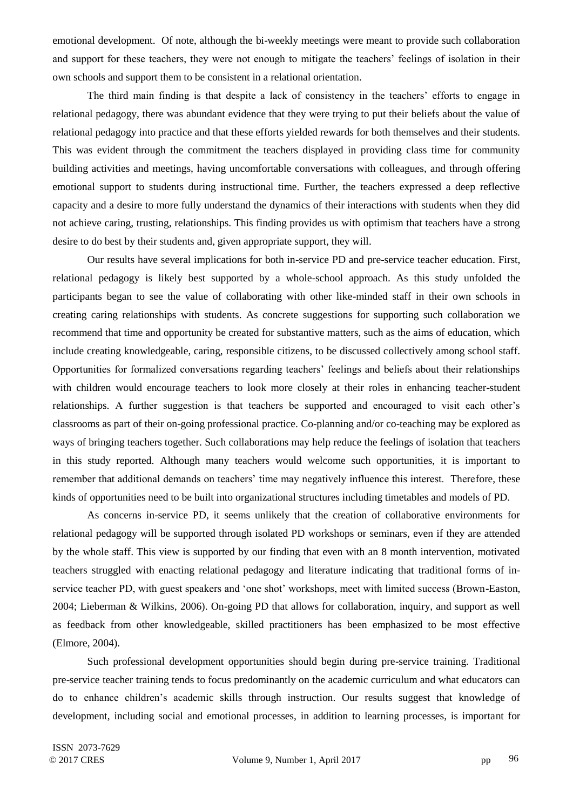emotional development. Of note, although the bi-weekly meetings were meant to provide such collaboration and support for these teachers, they were not enough to mitigate the teachers' feelings of isolation in their own schools and support them to be consistent in a relational orientation.

The third main finding is that despite a lack of consistency in the teachers' efforts to engage in relational pedagogy, there was abundant evidence that they were trying to put their beliefs about the value of relational pedagogy into practice and that these efforts yielded rewards for both themselves and their students. This was evident through the commitment the teachers displayed in providing class time for community building activities and meetings, having uncomfortable conversations with colleagues, and through offering emotional support to students during instructional time. Further, the teachers expressed a deep reflective capacity and a desire to more fully understand the dynamics of their interactions with students when they did not achieve caring, trusting, relationships. This finding provides us with optimism that teachers have a strong desire to do best by their students and, given appropriate support, they will.

Our results have several implications for both in-service PD and pre-service teacher education. First, relational pedagogy is likely best supported by a whole-school approach. As this study unfolded the participants began to see the value of collaborating with other like-minded staff in their own schools in creating caring relationships with students. As concrete suggestions for supporting such collaboration we recommend that time and opportunity be created for substantive matters, such as the aims of education, which include creating knowledgeable, caring, responsible citizens, to be discussed collectively among school staff. Opportunities for formalized conversations regarding teachers" feelings and beliefs about their relationships with children would encourage teachers to look more closely at their roles in enhancing teacher-student relationships. A further suggestion is that teachers be supported and encouraged to visit each other"s classrooms as part of their on-going professional practice. Co-planning and/or co-teaching may be explored as ways of bringing teachers together. Such collaborations may help reduce the feelings of isolation that teachers in this study reported. Although many teachers would welcome such opportunities, it is important to remember that additional demands on teachers' time may negatively influence this interest. Therefore, these kinds of opportunities need to be built into organizational structures including timetables and models of PD.

As concerns in-service PD, it seems unlikely that the creation of collaborative environments for relational pedagogy will be supported through isolated PD workshops or seminars, even if they are attended by the whole staff. This view is supported by our finding that even with an 8 month intervention, motivated teachers struggled with enacting relational pedagogy and literature indicating that traditional forms of inservice teacher PD, with guest speakers and 'one shot' workshops, meet with limited success (Brown-Easton, 2004; Lieberman & Wilkins, 2006). On-going PD that allows for collaboration, inquiry, and support as well as feedback from other knowledgeable, skilled practitioners has been emphasized to be most effective (Elmore, 2004).

Such professional development opportunities should begin during pre-service training. Traditional pre-service teacher training tends to focus predominantly on the academic curriculum and what educators can do to enhance children"s academic skills through instruction. Our results suggest that knowledge of development, including social and emotional processes, in addition to learning processes, is important for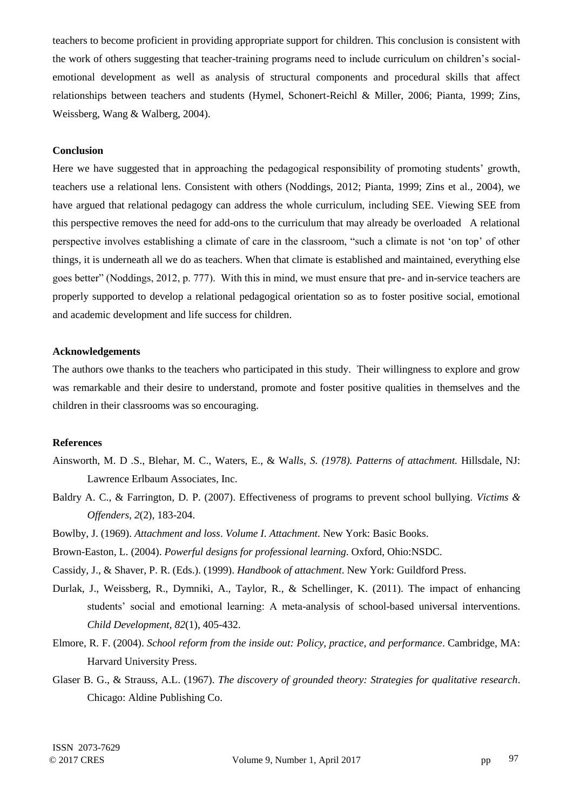teachers to become proficient in providing appropriate support for children. This conclusion is consistent with the work of others suggesting that teacher-training programs need to include curriculum on children"s socialemotional development as well as analysis of structural components and procedural skills that affect relationships between teachers and students (Hymel, Schonert-Reichl & Miller, 2006; Pianta, 1999; Zins, Weissberg, Wang & Walberg, 2004).

### **Conclusion**

Here we have suggested that in approaching the pedagogical responsibility of promoting students' growth, teachers use a relational lens. Consistent with others (Noddings, 2012; Pianta, 1999; Zins et al., 2004), we have argued that relational pedagogy can address the whole curriculum, including SEE. Viewing SEE from this perspective removes the need for add-ons to the curriculum that may already be overloaded A relational perspective involves establishing a climate of care in the classroom, "such a climate is not "on top" of other things, it is underneath all we do as teachers. When that climate is established and maintained, everything else goes better" (Noddings, 2012, p. 777). With this in mind, we must ensure that pre- and in-service teachers are properly supported to develop a relational pedagogical orientation so as to foster positive social, emotional and academic development and life success for children.

#### **Acknowledgements**

The authors owe thanks to the teachers who participated in this study. Their willingness to explore and grow was remarkable and their desire to understand, promote and foster positive qualities in themselves and the children in their classrooms was so encouraging.

## **References**

- Ainsworth, M. D .S., Blehar, M. C., Waters, E., & Wa*lls, S. (1978). Patterns of attachment.* Hillsdale, NJ: Lawrence Erlbaum Associates, Inc.
- Baldry A. C., & Farrington, D. P. (2007). Effectiveness of programs to prevent school bullying. *Victims & Offenders, 2*(2), 183-204.
- Bowlby, J. (1969). *Attachment and loss*. *Volume I. Attachment.* New York: Basic Books.
- Brown-Easton, L. (2004). *Powerful designs for professional learning*. Oxford, Ohio:NSDC.
- Cassidy, J., & Shaver, P. R. (Eds.). (1999). *Handbook of attachment*. New York: Guildford Press.
- Durlak, J., Weissberg, R., Dymniki, A., Taylor, R., & Schellinger, K. (2011). The impact of enhancing students" social and emotional learning: A meta-analysis of school-based universal interventions. *Child Development, 82*(1), 405-432.
- Elmore, R. F. (2004). *School reform from the inside out: Policy, practice, and performance*. Cambridge, MA: Harvard University Press.
- Glaser B. G., & Strauss, A.L. (1967). *The discovery of grounded theory: Strategies for qualitative research*. Chicago: Aldine Publishing Co.